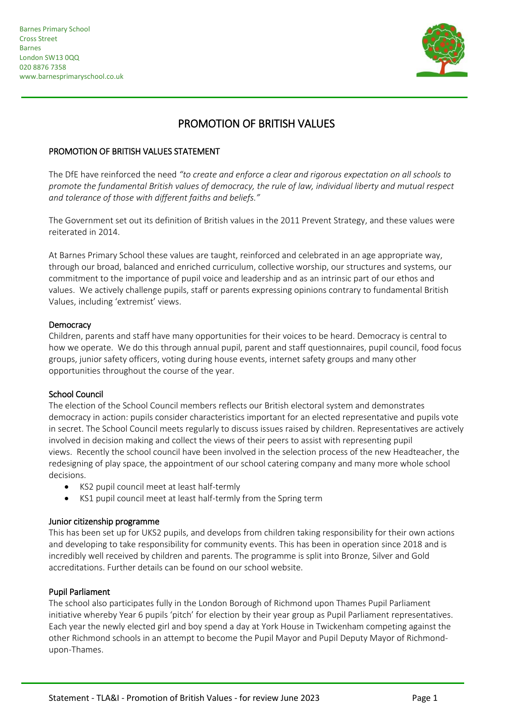

# PROMOTION OF BRITISH VALUES

# PROMOTION OF BRITISH VALUES STATEMENT

The DfE have reinforced the need *"to create and enforce a clear and rigorous expectation on all schools to promote the fundamental British values of democracy, the rule of law, individual liberty and mutual respect and tolerance of those with different faiths and beliefs."*

The Government set out its definition of British values in the 2011 Prevent Strategy, and these values were reiterated in 2014.

At Barnes Primary School these values are taught, reinforced and celebrated in an age appropriate way, through our broad, balanced and enriched curriculum, collective worship, our structures and systems, our commitment to the importance of pupil voice and leadership and as an intrinsic part of our ethos and values. We actively challenge pupils, staff or parents expressing opinions contrary to fundamental British Values, including 'extremist' views.

## **Democracy**

Children, parents and staff have many opportunities for their voices to be heard. Democracy is central to how we operate. We do this through annual pupil, parent and staff questionnaires, pupil council, food focus groups, junior safety officers, voting during house events, internet safety groups and many other opportunities throughout the course of the year.

## School Council

The election of the School Council members reflects our British electoral system and demonstrates democracy in action: pupils consider characteristics important for an elected representative and pupils vote in secret. The School Council meets regularly to discuss issues raised by children. Representatives are actively involved in decision making and collect the views of their peers to assist with representing pupil views. Recently the school council have been involved in the selection process of the new Headteacher, the redesigning of play space, the appointment of our school catering company and many more whole school decisions.

- KS2 pupil council meet at least half-termly
- KS1 pupil council meet at least half-termly from the Spring term

## Junior citizenship programme

This has been set up for UKS2 pupils, and develops from children taking responsibility for their own actions and developing to take responsibility for community events. This has been in operation since 2018 and is incredibly well received by children and parents. The programme is split into Bronze, Silver and Gold accreditations. Further details can be found on our school website.

## Pupil Parliament

The school also participates fully in the London Borough of Richmond upon Thames Pupil Parliament initiative whereby Year 6 pupils 'pitch' for election by their year group as Pupil Parliament representatives. Each year the newly elected girl and boy spend a day at York House in Twickenham competing against the other Richmond schools in an attempt to become the Pupil Mayor and Pupil Deputy Mayor of Richmondupon-Thames.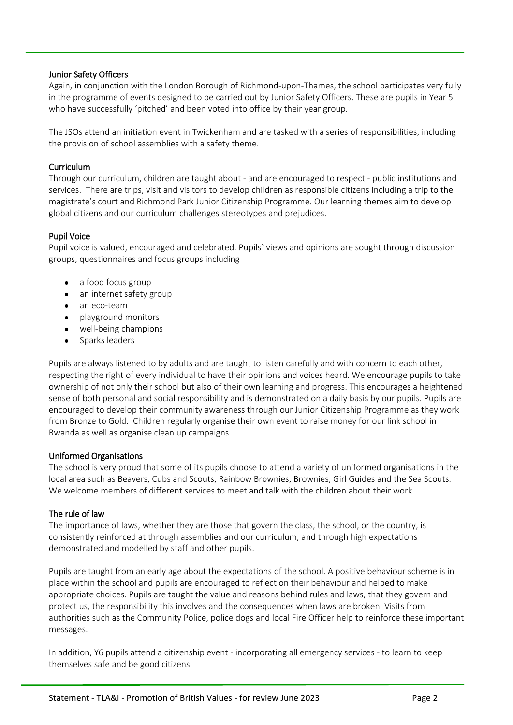## Junior Safety Officers

Again, in conjunction with the London Borough of Richmond-upon-Thames, the school participates very fully in the programme of events designed to be carried out by Junior Safety Officers. These are pupils in Year 5 who have successfully 'pitched' and been voted into office by their year group.

The JSOs attend an initiation event in Twickenham and are tasked with a series of responsibilities, including the provision of school assemblies with a safety theme.

## **Curriculum**

Through our curriculum, children are taught about - and are encouraged to respect - public institutions and services. There are trips, visit and visitors to develop children as responsible citizens including a trip to the magistrate's court and Richmond Park Junior Citizenship Programme. Our learning themes aim to develop global citizens and our curriculum challenges stereotypes and prejudices.

## Pupil Voice

Pupil voice is valued, encouraged and celebrated. Pupils` views and opinions are sought through discussion groups, questionnaires and focus groups including

- a food focus group
- an internet safety group
- an eco-team
- playground monitors
- well-being champions
- Sparks leaders

Pupils are always listened to by adults and are taught to listen carefully and with concern to each other, respecting the right of every individual to have their opinions and voices heard. We encourage pupils to take ownership of not only their school but also of their own learning and progress. This encourages a heightened sense of both personal and social responsibility and is demonstrated on a daily basis by our pupils. Pupils are encouraged to develop their community awareness through our Junior Citizenship Programme as they work from Bronze to Gold. Children regularly organise their own event to raise money for our link school in Rwanda as well as organise clean up campaigns.

#### Uniformed Organisations

The school is very proud that some of its pupils choose to attend a variety of uniformed organisations in the local area such as Beavers, Cubs and Scouts, Rainbow Brownies, Brownies, Girl Guides and the Sea Scouts. We welcome members of different services to meet and talk with the children about their work.

#### The rule of law

The importance of laws, whether they are those that govern the class, the school, or the country, is consistently reinforced at through assemblies and our curriculum, and through high expectations demonstrated and modelled by staff and other pupils.

Pupils are taught from an early age about the expectations of the school. A positive behaviour scheme is in place within the school and pupils are encouraged to reflect on their behaviour and helped to make appropriate choices. Pupils are taught the value and reasons behind rules and laws, that they govern and protect us, the responsibility this involves and the consequences when laws are broken. Visits from authorities such as the Community Police, police dogs and local Fire Officer help to reinforce these important messages.

In addition, Y6 pupils attend a citizenship event - incorporating all emergency services - to learn to keep themselves safe and be good citizens.